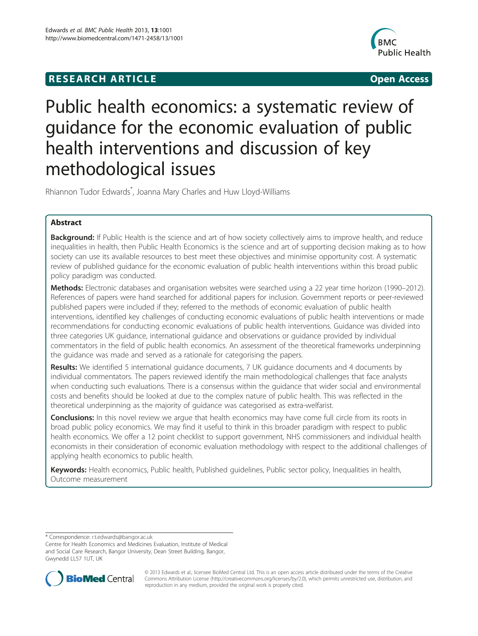## **RESEARCH ARTICLE Example 2008 CONSIDERING CONSIDERING CONSIDERING CONSIDERING CONSIDERING CONSIDERING CONSIDERING CONSIDERING CONSIDERING CONSIDERING CONSIDERING CONSIDERING CONSIDERING CONSIDERING CONSIDERING CONSIDE**



# Public health economics: a systematic review of guidance for the economic evaluation of public health interventions and discussion of key methodological issues

Rhiannon Tudor Edwards\* , Joanna Mary Charles and Huw Lloyd-Williams

## Abstract

Background: If Public Health is the science and art of how society collectively aims to improve health, and reduce inequalities in health, then Public Health Economics is the science and art of supporting decision making as to how society can use its available resources to best meet these objectives and minimise opportunity cost. A systematic review of published guidance for the economic evaluation of public health interventions within this broad public policy paradigm was conducted.

Methods: Electronic databases and organisation websites were searched using a 22 year time horizon (1990–2012). References of papers were hand searched for additional papers for inclusion. Government reports or peer-reviewed published papers were included if they; referred to the methods of economic evaluation of public health interventions, identified key challenges of conducting economic evaluations of public health interventions or made recommendations for conducting economic evaluations of public health interventions. Guidance was divided into three categories UK guidance, international guidance and observations or guidance provided by individual commentators in the field of public health economics. An assessment of the theoretical frameworks underpinning the guidance was made and served as a rationale for categorising the papers.

**Results:** We identified 5 international quidance documents, 7 UK quidance documents and 4 documents by individual commentators. The papers reviewed identify the main methodological challenges that face analysts when conducting such evaluations. There is a consensus within the guidance that wider social and environmental costs and benefits should be looked at due to the complex nature of public health. This was reflected in the theoretical underpinning as the majority of guidance was categorised as extra-welfarist.

**Conclusions:** In this novel review we arque that health economics may have come full circle from its roots in broad public policy economics. We may find it useful to think in this broader paradigm with respect to public health economics. We offer a 12 point checklist to support government, NHS commissioners and individual health economists in their consideration of economic evaluation methodology with respect to the additional challenges of applying health economics to public health.

Keywords: Health economics, Public health, Published guidelines, Public sector policy, Inequalities in health, Outcome measurement

\* Correspondence: [r.t.edwards@bangor.ac.uk](mailto:r.t.edwards@bangor.ac.uk)

Centre for Health Economics and Medicines Evaluation, Institute of Medical and Social Care Research, Bangor University, Dean Street Building, Bangor, Gwynedd LL57 1UT, UK



© 2013 Edwards et al.; licensee BioMed Central Ltd. This is an open access article distributed under the terms of the Creative Commons Attribution License [\(http://creativecommons.org/licenses/by/2.0\)](http://creativecommons.org/licenses/by/2.0), which permits unrestricted use, distribution, and reproduction in any medium, provided the original work is properly cited.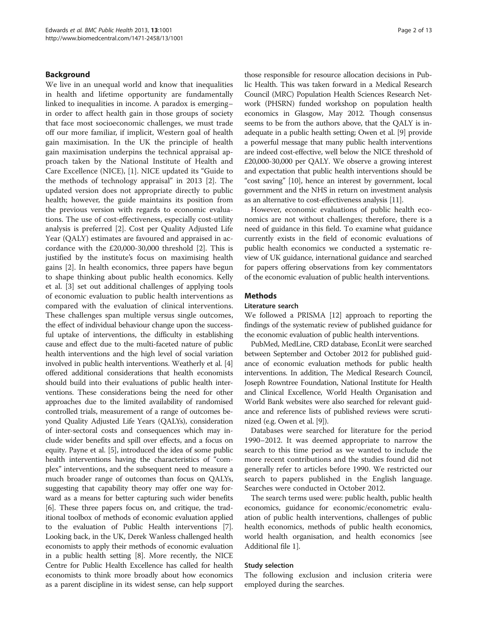### Background

We live in an unequal world and know that inequalities in health and lifetime opportunity are fundamentally linked to inequalities in income. A paradox is emerging– in order to affect health gain in those groups of society that face most socioeconomic challenges, we must trade off our more familiar, if implicit, Western goal of health gain maximisation. In the UK the principle of health gain maximisation underpins the technical appraisal approach taken by the National Institute of Health and Care Excellence (NICE), [[1](#page-11-0)]. NICE updated its "Guide to the methods of technology appraisal" in 2013 [[2\]](#page-11-0). The updated version does not appropriate directly to public health; however, the guide maintains its position from the previous version with regards to economic evaluations. The use of cost-effectiveness, especially cost-utility analysis is preferred [[2\]](#page-11-0). Cost per Quality Adjusted Life Year (QALY) estimates are favoured and appraised in accordance with the £20,000-30,000 threshold [[2\]](#page-11-0). This is justified by the institute's focus on maximising health gains [\[2](#page-11-0)]. In health economics, three papers have begun to shape thinking about public health economics. Kelly et al. [[3\]](#page-11-0) set out additional challenges of applying tools of economic evaluation to public health interventions as compared with the evaluation of clinical interventions. These challenges span multiple versus single outcomes, the effect of individual behaviour change upon the successful uptake of interventions, the difficulty in establishing cause and effect due to the multi-faceted nature of public health interventions and the high level of social variation involved in public health interventions. Weatherly et al. [[4](#page-11-0)] offered additional considerations that health economists should build into their evaluations of public health interventions. These considerations being the need for other approaches due to the limited availability of randomised controlled trials, measurement of a range of outcomes beyond Quality Adjusted Life Years (QALYs), consideration of inter-sectoral costs and consequences which may include wider benefits and spill over effects, and a focus on equity. Payne et al. [[5](#page-11-0)], introduced the idea of some public health interventions having the characteristics of "complex" interventions, and the subsequent need to measure a much broader range of outcomes than focus on QALYs, suggesting that capability theory may offer one way forward as a means for better capturing such wider benefits [[6](#page-11-0)]. These three papers focus on, and critique, the traditional toolbox of methods of economic evaluation applied to the evaluation of Public Health interventions [[7](#page-11-0)]. Looking back, in the UK, Derek Wanless challenged health economists to apply their methods of economic evaluation in a public health setting [\[8\]](#page-12-0). More recently, the NICE Centre for Public Health Excellence has called for health economists to think more broadly about how economics as a parent discipline in its widest sense, can help support

those responsible for resource allocation decisions in Public Health. This was taken forward in a Medical Research Council (MRC) Population Health Sciences Research Network (PHSRN) funded workshop on population health economics in Glasgow, May 2012. Though consensus seems to be from the authors above, that the QALY is inadequate in a public health setting; Owen et al. [\[9\]](#page-12-0) provide a powerful message that many public health interventions are indeed cost-effective, well below the NICE threshold of £20,000-30,000 per QALY. We observe a growing interest and expectation that public health interventions should be "cost saving" [\[10\]](#page-12-0), hence an interest by government, local government and the NHS in return on investment analysis as an alternative to cost-effectiveness analysis [\[11\]](#page-12-0).

However, economic evaluations of public health economics are not without challenges; therefore, there is a need of guidance in this field. To examine what guidance currently exists in the field of economic evaluations of public health economics we conducted a systematic review of UK guidance, international guidance and searched for papers offering observations from key commentators of the economic evaluation of public health interventions.

#### **Methods**

#### Literature search

We followed a PRISMA [[12](#page-12-0)] approach to reporting the findings of the systematic review of published guidance for the economic evaluation of public health interventions.

PubMed, MedLine, CRD database, EconLit were searched between September and October 2012 for published guidance of economic evaluation methods for public health interventions. In addition, The Medical Research Council, Joseph Rowntree Foundation, National Institute for Health and Clinical Excellence, World Health Organisation and World Bank websites were also searched for relevant guidance and reference lists of published reviews were scrutinized (e.g. Owen et al. [[9](#page-12-0)]).

Databases were searched for literature for the period 1990–2012. It was deemed appropriate to narrow the search to this time period as we wanted to include the more recent contributions and the studies found did not generally refer to articles before 1990. We restricted our search to papers published in the English language. Searches were conducted in October 2012.

The search terms used were: public health, public health economics, guidance for economic/econometric evaluation of public health interventions, challenges of public health economics, methods of public health economics, world health organisation, and health economics [see Additional file [1](#page-11-0)].

#### Study selection

The following exclusion and inclusion criteria were employed during the searches.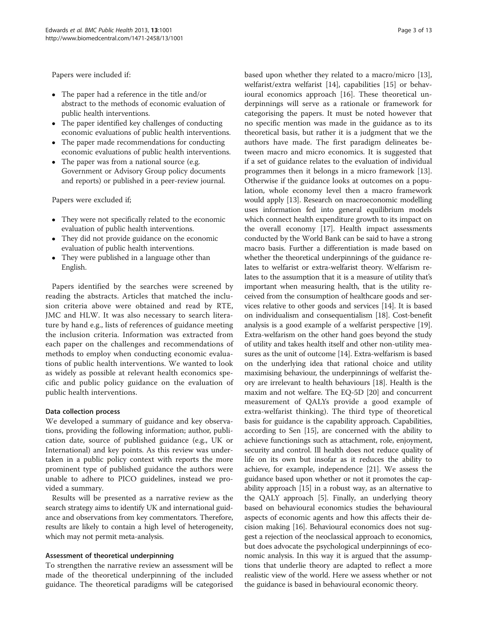Papers were included if:

- The paper had a reference in the title and/or abstract to the methods of economic evaluation of public health interventions.
- The paper identified key challenges of conducting economic evaluations of public health interventions.
- The paper made recommendations for conducting economic evaluations of public health interventions.
- The paper was from a national source (e.g. Government or Advisory Group policy documents and reports) or published in a peer-review journal.

Papers were excluded if;

- They were not specifically related to the economic evaluation of public health interventions.
- They did not provide guidance on the economic evaluation of public health interventions.
- They were published in a language other than English.

Papers identified by the searches were screened by reading the abstracts. Articles that matched the inclusion criteria above were obtained and read by RTE, JMC and HLW. It was also necessary to search literature by hand e.g., lists of references of guidance meeting the inclusion criteria. Information was extracted from each paper on the challenges and recommendations of methods to employ when conducting economic evaluations of public health interventions. We wanted to look as widely as possible at relevant health economics specific and public policy guidance on the evaluation of public health interventions.

## Data collection process

We developed a summary of guidance and key observations, providing the following information; author, publication date, source of published guidance (e.g., UK or International) and key points. As this review was undertaken in a public policy context with reports the more prominent type of published guidance the authors were unable to adhere to PICO guidelines, instead we provided a summary.

Results will be presented as a narrative review as the search strategy aims to identify UK and international guidance and observations from key commentators. Therefore, results are likely to contain a high level of heterogeneity, which may not permit meta-analysis.

## Assessment of theoretical underpinning

To strengthen the narrative review an assessment will be made of the theoretical underpinning of the included guidance. The theoretical paradigms will be categorised based upon whether they related to a macro/micro [\[13](#page-12-0)], welfarist/extra welfarist [\[14\]](#page-12-0), capabilities [[15\]](#page-12-0) or behavioural economics approach [\[16\]](#page-12-0). These theoretical underpinnings will serve as a rationale or framework for categorising the papers. It must be noted however that no specific mention was made in the guidance as to its theoretical basis, but rather it is a judgment that we the authors have made. The first paradigm delineates between macro and micro economics. It is suggested that if a set of guidance relates to the evaluation of individual programmes then it belongs in a micro framework [\[13](#page-12-0)]. Otherwise if the guidance looks at outcomes on a population, whole economy level then a macro framework would apply [\[13\]](#page-12-0). Research on macroeconomic modelling uses information fed into general equilibrium models which connect health expenditure growth to its impact on the overall economy [\[17](#page-12-0)]. Health impact assessments conducted by the World Bank can be said to have a strong macro basis. Further a differentiation is made based on whether the theoretical underpinnings of the guidance relates to welfarist or extra-welfarist theory. Welfarism relates to the assumption that it is a measure of utility that's important when measuring health, that is the utility received from the consumption of healthcare goods and services relative to other goods and services [\[14](#page-12-0)]. It is based on individualism and consequentialism [\[18\]](#page-12-0). Cost-benefit analysis is a good example of a welfarist perspective [[19](#page-12-0)]. Extra-welfarism on the other hand goes beyond the study of utility and takes health itself and other non-utility measures as the unit of outcome [\[14\]](#page-12-0). Extra-welfarism is based on the underlying idea that rational choice and utility maximising behaviour, the underpinnings of welfarist theory are irrelevant to health behaviours [[18](#page-12-0)]. Health is the maxim and not welfare. The EQ-5D [[20](#page-12-0)] and concurrent measurement of QALYs provide a good example of extra-welfarist thinking). The third type of theoretical basis for guidance is the capability approach. Capabilities, according to Sen [\[15\]](#page-12-0), are concerned with the ability to achieve functionings such as attachment, role, enjoyment, security and control. Ill health does not reduce quality of life on its own but insofar as it reduces the ability to achieve, for example, independence [[21](#page-12-0)]. We assess the guidance based upon whether or not it promotes the capability approach [[15](#page-12-0)] in a robust way, as an alternative to the QALY approach [\[5](#page-11-0)]. Finally, an underlying theory based on behavioural economics studies the behavioural aspects of economic agents and how this affects their decision making [[16](#page-12-0)]. Behavioural economics does not suggest a rejection of the neoclassical approach to economics, but does advocate the psychological underpinnings of economic analysis. In this way it is argued that the assumptions that underlie theory are adapted to reflect a more realistic view of the world. Here we assess whether or not the guidance is based in behavioural economic theory.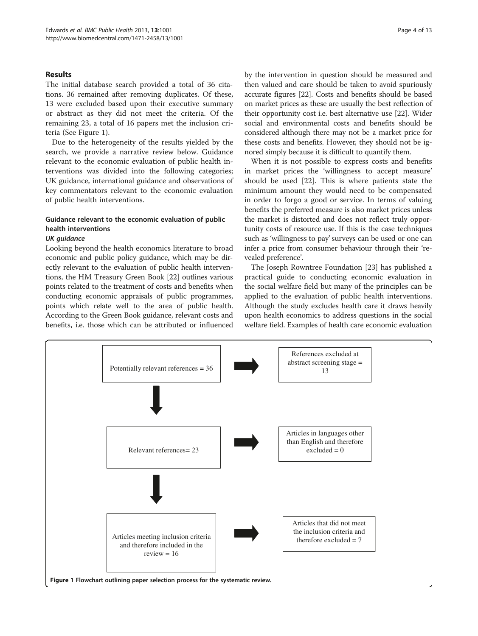## Results

The initial database search provided a total of 36 citations. 36 remained after removing duplicates. Of these, 13 were excluded based upon their executive summary or abstract as they did not meet the criteria. Of the remaining 23, a total of 16 papers met the inclusion criteria (See Figure 1).

Due to the heterogeneity of the results yielded by the search, we provide a narrative review below. Guidance relevant to the economic evaluation of public health interventions was divided into the following categories; UK guidance, international guidance and observations of key commentators relevant to the economic evaluation of public health interventions.

## Guidance relevant to the economic evaluation of public health interventions

#### UK guidance

Looking beyond the health economics literature to broad economic and public policy guidance, which may be directly relevant to the evaluation of public health interventions, the HM Treasury Green Book [\[22\]](#page-12-0) outlines various points related to the treatment of costs and benefits when conducting economic appraisals of public programmes, points which relate well to the area of public health. According to the Green Book guidance, relevant costs and benefits, i.e. those which can be attributed or influenced by the intervention in question should be measured and then valued and care should be taken to avoid spuriously accurate figures [\[22\]](#page-12-0). Costs and benefits should be based on market prices as these are usually the best reflection of their opportunity cost i.e. best alternative use [\[22\]](#page-12-0). Wider social and environmental costs and benefits should be considered although there may not be a market price for these costs and benefits. However, they should not be ignored simply because it is difficult to quantify them.

When it is not possible to express costs and benefits in market prices the 'willingness to accept measure' should be used [\[22\]](#page-12-0). This is where patients state the minimum amount they would need to be compensated in order to forgo a good or service. In terms of valuing benefits the preferred measure is also market prices unless the market is distorted and does not reflect truly opportunity costs of resource use. If this is the case techniques such as 'willingness to pay' surveys can be used or one can infer a price from consumer behaviour through their 'revealed preference'.

The Joseph Rowntree Foundation [\[23\]](#page-12-0) has published a practical guide to conducting economic evaluation in the social welfare field but many of the principles can be applied to the evaluation of public health interventions. Although the study excludes health care it draws heavily upon health economics to address questions in the social welfare field. Examples of health care economic evaluation

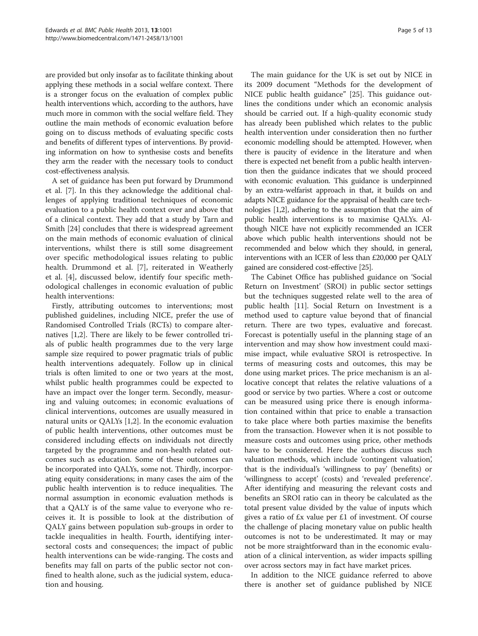are provided but only insofar as to facilitate thinking about applying these methods in a social welfare context. There is a stronger focus on the evaluation of complex public health interventions which, according to the authors, have much more in common with the social welfare field. They outline the main methods of economic evaluation before going on to discuss methods of evaluating specific costs and benefits of different types of interventions. By providing information on how to synthesise costs and benefits they arm the reader with the necessary tools to conduct cost-effectiveness analysis.

A set of guidance has been put forward by Drummond et al. [[7\]](#page-11-0). In this they acknowledge the additional challenges of applying traditional techniques of economic evaluation to a public health context over and above that of a clinical context. They add that a study by Tarn and Smith [\[24\]](#page-12-0) concludes that there is widespread agreement on the main methods of economic evaluation of clinical interventions, whilst there is still some disagreement over specific methodological issues relating to public health. Drummond et al. [[7\]](#page-11-0), reiterated in Weatherly et al. [\[4](#page-11-0)], discussed below, identify four specific methodological challenges in economic evaluation of public health interventions:

Firstly, attributing outcomes to interventions; most published guidelines, including NICE, prefer the use of Randomised Controlled Trials (RCTs) to compare alternatives [[1,2\]](#page-11-0). There are likely to be fewer controlled trials of public health programmes due to the very large sample size required to power pragmatic trials of public health interventions adequately. Follow up in clinical trials is often limited to one or two years at the most, whilst public health programmes could be expected to have an impact over the longer term. Secondly, measuring and valuing outcomes; in economic evaluations of clinical interventions, outcomes are usually measured in natural units or QALYs [\[1,2](#page-11-0)]. In the economic evaluation of public health interventions, other outcomes must be considered including effects on individuals not directly targeted by the programme and non-health related outcomes such as education. Some of these outcomes can be incorporated into QALYs, some not. Thirdly, incorporating equity considerations; in many cases the aim of the public health intervention is to reduce inequalities. The normal assumption in economic evaluation methods is that a QALY is of the same value to everyone who receives it. It is possible to look at the distribution of QALY gains between population sub-groups in order to tackle inequalities in health. Fourth, identifying intersectoral costs and consequences; the impact of public health interventions can be wide-ranging. The costs and benefits may fall on parts of the public sector not confined to health alone, such as the judicial system, education and housing.

The main guidance for the UK is set out by NICE in its 2009 document "Methods for the development of NICE public health guidance" [[25\]](#page-12-0). This guidance outlines the conditions under which an economic analysis should be carried out. If a high-quality economic study has already been published which relates to the public health intervention under consideration then no further economic modelling should be attempted. However, when there is paucity of evidence in the literature and when there is expected net benefit from a public health intervention then the guidance indicates that we should proceed with economic evaluation. This guidance is underpinned by an extra-welfarist approach in that, it builds on and adapts NICE guidance for the appraisal of health care technologies [[1,2](#page-11-0)], adhering to the assumption that the aim of public health interventions is to maximise QALYs. Although NICE have not explicitly recommended an ICER above which public health interventions should not be recommended and below which they should, in general, interventions with an ICER of less than £20,000 per QALY gained are considered cost-effective [\[25\]](#page-12-0).

The Cabinet Office has published guidance on 'Social Return on Investment' (SROI) in public sector settings but the techniques suggested relate well to the area of public health [[11\]](#page-12-0). Social Return on Investment is a method used to capture value beyond that of financial return. There are two types, evaluative and forecast. Forecast is potentially useful in the planning stage of an intervention and may show how investment could maximise impact, while evaluative SROI is retrospective. In terms of measuring costs and outcomes, this may be done using market prices. The price mechanism is an allocative concept that relates the relative valuations of a good or service by two parties. Where a cost or outcome can be measured using price there is enough information contained within that price to enable a transaction to take place where both parties maximise the benefits from the transaction. However when it is not possible to measure costs and outcomes using price, other methods have to be considered. Here the authors discuss such valuation methods, which include 'contingent valuation', that is the individual's 'willingness to pay' (benefits) or 'willingness to accept' (costs) and 'revealed preference'. After identifying and measuring the relevant costs and benefits an SROI ratio can in theory be calculated as the total present value divided by the value of inputs which gives a ratio of £x value per £1 of investment. Of course the challenge of placing monetary value on public health outcomes is not to be underestimated. It may or may not be more straightforward than in the economic evaluation of a clinical intervention, as wider impacts spilling over across sectors may in fact have market prices.

In addition to the NICE guidance referred to above there is another set of guidance published by NICE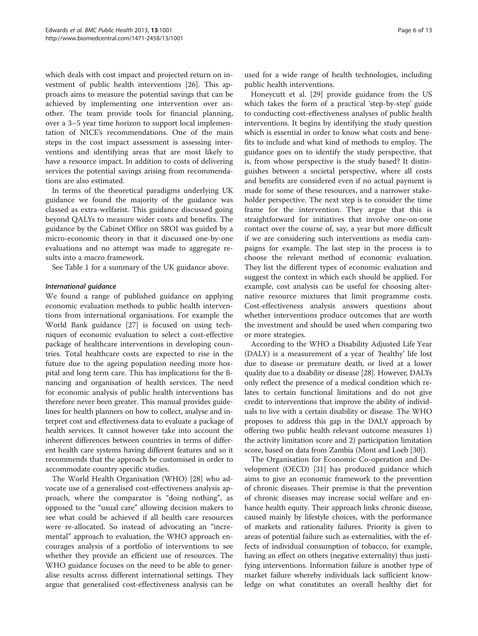which deals with cost impact and projected return on investment of public health interventions [\[26\]](#page-12-0). This approach aims to measure the potential savings that can be achieved by implementing one intervention over another. The team provide tools for financial planning, over a 3–5 year time horizon to support local implementation of NICE's recommendations. One of the main steps in the cost impact assessment is assessing interventions and identifying areas that are most likely to have a resource impact. In addition to costs of delivering services the potential savings arising from recommendations are also estimated.

In terms of the theoretical paradigms underlying UK guidance we found the majority of the guidance was classed as extra-welfarist. This guidance discussed going beyond QALYs to measure wider costs and benefits. The guidance by the Cabinet Office on SROI was guided by a micro-economic theory in that it discussed one-by-one evaluations and no attempt was made to aggregate results into a macro framework.

See Table [1](#page-6-0) for a summary of the UK guidance above.

#### International guidance

We found a range of published guidance on applying economic evaluation methods to public health interventions from international organisations. For example the World Bank guidance [[27\]](#page-12-0) is focused on using techniques of economic evaluation to select a cost-effective package of healthcare interventions in developing countries. Total healthcare costs are expected to rise in the future due to the ageing population needing more hospital and long term care. This has implications for the financing and organisation of health services. The need for economic analysis of public health interventions has therefore never been greater. This manual provides guidelines for health planners on how to collect, analyse and interpret cost and effectiveness data to evaluate a package of health services. It cannot however take into account the inherent differences between countries in terms of different health care systems having different features and so it recommends that the approach be customised in order to accommodate country specific studies.

The World Health Organisation (WHO) [[28\]](#page-12-0) who advocate use of a generalised cost-effectiveness analysis approach, where the comparator is "doing nothing", as opposed to the "usual care" allowing decision makers to see what could be achieved if all health care resources were re-allocated. So instead of advocating an "incremental" approach to evaluation, the WHO approach encourages analysis of a portfolio of interventions to see whether they provide an efficient use of resources. The WHO guidance focuses on the need to be able to generalise results across different international settings. They argue that generalised cost-effectiveness analysis can be

used for a wide range of health technologies, including public health interventions.

Honeycutt et al. [[29\]](#page-12-0) provide guidance from the US which takes the form of a practical 'step-by-step' guide to conducting cost-effectiveness analyses of public health interventions. It begins by identifying the study question which is essential in order to know what costs and benefits to include and what kind of methods to employ. The guidance goes on to identify the study perspective, that is, from whose perspective is the study based? It distinguishes between a societal perspective, where all costs and benefits are considered even if no actual payment is made for some of these resources, and a narrower stakeholder perspective. The next step is to consider the time frame for the intervention. They argue that this is straightforward for initiatives that involve one-on-one contact over the course of, say, a year but more difficult if we are considering such interventions as media campaigns for example. The last step in the process is to choose the relevant method of economic evaluation. They list the different types of economic evaluation and suggest the context in which each should be applied. For example, cost analysis can be useful for choosing alternative resource mixtures that limit programme costs. Cost-effectiveness analysis answers questions about whether interventions produce outcomes that are worth the investment and should be used when comparing two or more strategies.

According to the WHO a Disability Adjusted Life Year (DALY) is a measurement of a year of 'healthy' life lost due to disease or premature death, or lived at a lower quality due to a disability or disease [\[28\]](#page-12-0). However, DALYs only reflect the presence of a medical condition which relates to certain functional limitations and do not give credit to interventions that improve the ability of individuals to live with a certain disability or disease. The WHO proposes to address this gap in the DALY approach by offering two public health relevant outcome measures 1) the activity limitation score and 2) participation limitation score, based on data from Zambia (Mont and Loeb [\[30\]](#page-12-0)).

The Organisation for Economic Co-operation and Development (OECD) [[31](#page-12-0)] has produced guidance which aims to give an economic framework to the prevention of chronic diseases. Their premise is that the prevention of chronic diseases may increase social welfare and enhance health equity. Their approach links chronic disease, caused mainly by lifestyle choices, with the performance of markets and rationality failures. Priority is given to areas of potential failure such as externalities, with the effects of individual consumption of tobacco, for example, having an effect on others (negative externality) thus justifying interventions. Information failure is another type of market failure whereby individuals lack sufficient knowledge on what constitutes an overall healthy diet for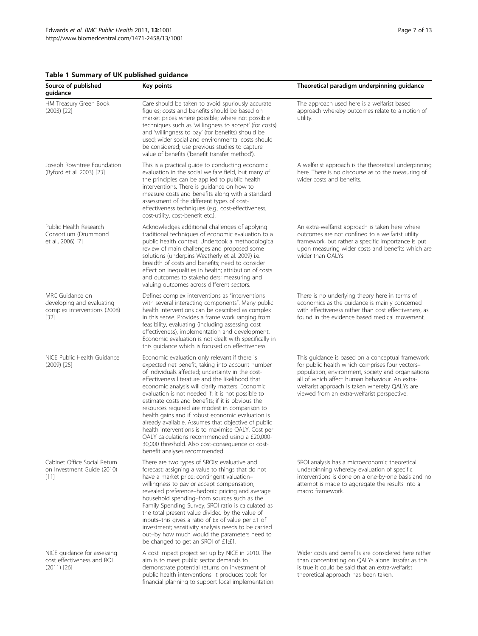## <span id="page-6-0"></span>Table 1 Summary of UK published guidance

| Source of published<br>guidance                                                        | Key points                                                                                                                                                                                                                                                                                                                                                                                                                                                                                                                                                                                                                                                                                                                           | Theoretical paradigm underpinning guidance                                                                                                                                                                                                                                                                  |
|----------------------------------------------------------------------------------------|--------------------------------------------------------------------------------------------------------------------------------------------------------------------------------------------------------------------------------------------------------------------------------------------------------------------------------------------------------------------------------------------------------------------------------------------------------------------------------------------------------------------------------------------------------------------------------------------------------------------------------------------------------------------------------------------------------------------------------------|-------------------------------------------------------------------------------------------------------------------------------------------------------------------------------------------------------------------------------------------------------------------------------------------------------------|
| HM Treasury Green Book<br>$(2003)$ $[22]$                                              | Care should be taken to avoid spuriously accurate<br>figures; costs and benefits should be based on<br>market prices where possible; where not possible<br>techniques such as 'willingness to accept' (for costs)<br>and 'willingness to pay' (for benefits) should be<br>used; wider social and environmental costs should<br>be considered; use previous studies to capture<br>value of benefits ('benefit transfer method').                                                                                                                                                                                                                                                                                                      | The approach used here is a welfarist based<br>approach whereby outcomes relate to a notion of<br>utility.                                                                                                                                                                                                  |
| Joseph Rowntree Foundation<br>(Byford et al. 2003) [23]                                | This is a practical guide to conducting economic<br>evaluation in the social welfare field, but many of<br>the principles can be applied to public health<br>interventions. There is guidance on how to<br>measure costs and benefits along with a standard<br>assessment of the different types of cost-<br>effectiveness techniques (e.g., cost-effectiveness,<br>cost-utility, cost-benefit etc.).                                                                                                                                                                                                                                                                                                                                | A welfarist approach is the theoretical underpinning<br>here. There is no discourse as to the measuring of<br>wider costs and benefits.                                                                                                                                                                     |
| Public Health Research<br>Consortium (Drummond<br>et al., 2006) [7]                    | Acknowledges additional challenges of applying<br>traditional techniques of economic evaluation to a<br>public health context. Undertook a methodological<br>review of main challenges and proposed some<br>solutions (underpins Weatherly et al. 2009) i.e.<br>breadth of costs and benefits; need to consider<br>effect on inequalities in health; attribution of costs<br>and outcomes to stakeholders; measuring and<br>valuing outcomes across different sectors.                                                                                                                                                                                                                                                               | An extra-welfarist approach is taken here where<br>outcomes are not confined to a welfarist utility<br>framework, but rather a specific importance is put<br>upon measuring wider costs and benefits which are<br>wider than QALYs.                                                                         |
| MRC Guidance on<br>developing and evaluating<br>complex interventions (2008)<br>$[32]$ | Defines complex interventions as "interventions<br>with several interacting components". Many public<br>health interventions can be described as complex<br>in this sense. Provides a frame work ranging from<br>feasibility, evaluating (including assessing cost<br>effectiveness), implementation and development.<br>Economic evaluation is not dealt with specifically in<br>this guidance which is focused on effectiveness.                                                                                                                                                                                                                                                                                                   | There is no underlying theory here in terms of<br>economics as the guidance is mainly concerned<br>with effectiveness rather than cost effectiveness, as<br>found in the evidence based medical movement.                                                                                                   |
| NICE Public Health Guidance<br>$(2009)$ [25]                                           | Economic evaluation only relevant if there is<br>expected net benefit, taking into account number<br>of individuals affected; uncertainty in the cost-<br>effectiveness literature and the likelihood that<br>economic analysis will clarify matters. Economic<br>evaluation is not needed if: it is not possible to<br>estimate costs and benefits; if it is obvious the<br>resources required are modest in comparison to<br>health gains and if robust economic evaluation is<br>already available. Assumes that objective of public<br>health interventions is to maximise QALY. Cost per<br>QALY calculations recommended using a £20,000-<br>30,000 threshold. Also cost-consequence or cost-<br>benefit analyses recommended. | This guidance is based on a conceptual framework<br>for public health which comprises four vectors-<br>population, environment, society and organisations<br>all of which affect human behaviour. An extra-<br>welfarist approach is taken whereby QALYs are<br>viewed from an extra-welfarist perspective. |
| Cabinet Office Social Return<br>on Investment Guide (2010)<br>$[11]$                   | There are two types of SROIs: evaluative and<br>forecast; assigning a value to things that do not<br>have a market price: contingent valuation-<br>willingness to pay or accept compensation,<br>revealed preference-hedonic pricing and average<br>household spending-from sources such as the<br>Family Spending Survey; SROI ratio is calculated as<br>the total present value divided by the value of<br>inputs-this gives a ratio of £x of value per £1 of<br>investment; sensitivity analysis needs to be carried<br>out-by how much would the parameters need to<br>be changed to get an SROI of £1:£1.                                                                                                                       | SROI analysis has a microeconomic theoretical<br>underpinning whereby evaluation of specific<br>interventions is done on a one-by-one basis and no<br>attempt is made to aggregate the results into a<br>macro framework.                                                                                   |
| NICE guidance for assessing<br>cost effectiveness and ROI<br>$(2011)$ [26]             | A cost impact project set up by NICE in 2010. The<br>aim is to meet public sector demands to<br>demonstrate potential returns on investment of<br>public health interventions. It produces tools for<br>financial planning to support local implementation                                                                                                                                                                                                                                                                                                                                                                                                                                                                           | Wider costs and benefits are considered here rather<br>than concentrating on QALYs alone. Insofar as this<br>is true it could be said that an extra-welfarist<br>theoretical approach has been taken.                                                                                                       |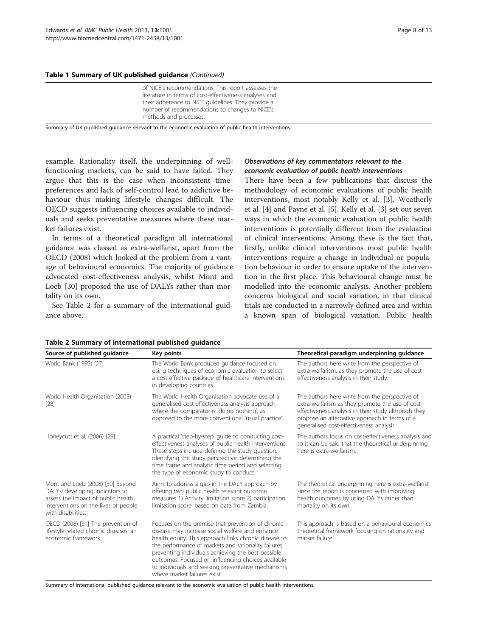Table 1 Summary of UK published guidance (Continued)

| of NICE's recommendations. This report assesses the<br>literature in terms of cost-effectiveness analyses and<br>their adherence to NICE guidelines. They provide a<br>number of recommendations to changes to NICE's<br>methods and processes. |
|-------------------------------------------------------------------------------------------------------------------------------------------------------------------------------------------------------------------------------------------------|
|-------------------------------------------------------------------------------------------------------------------------------------------------------------------------------------------------------------------------------------------------|

Summary of UK published guidance relevant to the economic evaluation of public health interventions.

example. Rationality itself, the underpinning of wellfunctioning markets, can be said to have failed. They argue that this is the case when inconsistent timepreferences and lack of self-control lead to addictive behaviour thus making lifestyle changes difficult. The OECD suggests influencing choices available to individuals and seeks preventative measures where these market failures exist.

In terms of a theoretical paradigm all international guidance was classed as extra-welfarist, apart from the OECD (2008) which looked at the problem from a vantage of behavioural economics. The majority of guidance advocated cost-effectiveness analysis, whilst Mont and Loeb [[30\]](#page-12-0) proposed the use of DALYs rather than mortality on its own.

See Table 2 for a summary of the international guidance above.

## Observations of key commentators relevant to the economic evaluation of public health interventions

There have been a few publications that discuss the methodology of economic evaluations of public health interventions, most notably Kelly et al. [\[3](#page-11-0)], Weatherly et al. [\[4](#page-11-0)] and Payne et al. [\[5\]](#page-11-0). Kelly et al. [\[3](#page-11-0)] set out seven ways in which the economic evaluation of public health interventions is potentially different from the evaluation of clinical interventions. Among these is the fact that, firstly, unlike clinical interventions most public health interventions require a change in individual or population behaviour in order to ensure uptake of the intervention in the first place. This behavioural change must be modelled into the economic analysis. Another problem concerns biological and social variation, in that clinical trials are conducted in a narrowly defined area and within a known span of biological variation. Public health

| Source of published quidance                                                                                                                                            | Key points                                                                                                                                                                                                                                                                                                                                                                                                              | Theoretical paradigm underpinning quidance                                                                                                                                                                                                             |
|-------------------------------------------------------------------------------------------------------------------------------------------------------------------------|-------------------------------------------------------------------------------------------------------------------------------------------------------------------------------------------------------------------------------------------------------------------------------------------------------------------------------------------------------------------------------------------------------------------------|--------------------------------------------------------------------------------------------------------------------------------------------------------------------------------------------------------------------------------------------------------|
| World Bank (1993) [27]                                                                                                                                                  | The World Bank produced guidance focused on<br>using techniques of economic evaluation to select<br>a cost-effective package of healthcare interventions<br>in developing countries.                                                                                                                                                                                                                                    | The authors here write from the perspective of<br>extra-welfarism, as they promote the use of cost-<br>effectiveness analysis in their study.                                                                                                          |
| World Health Organisation (2003)<br>$[28]$                                                                                                                              | The World Health Organisation advocate use of a<br>generalised cost-effectiveness analysis approach,<br>where the comparator is 'doing nothing', as<br>opposed to the more conventional 'usual practice'.                                                                                                                                                                                                               | The authors here write from the perspective of<br>extra-welfarism as they promote the use of cost-<br>effectiveness analysis in their study although they<br>propose an alternative approach in terms of a<br>generalised cost-effectiveness analysis. |
| Honeycutt et al. (2006) [29]                                                                                                                                            | A practical 'step-by-step' guide to conducting cost-<br>effectiveness analyses of public health interventions.<br>These steps include defining the study question,<br>identifying the study perspective, determining the<br>time frame and analytic time period and selecting<br>the type of economic study to conduct.                                                                                                 | The authors focus on cost-effectiveness analysis and<br>so it can be said that the theoretical underpinning<br>here is extra-welfarism.                                                                                                                |
| Mont and Loeb (2008) [30] Beyond<br>DALYs: developing indicators to<br>assess the impact of public health<br>interventions on the lives of people<br>with disabilities. | Aims to address a gap in the DALY approach by<br>offering two public health relevant outcome<br>measures 1) Activity limitation score 2) participation<br>limitation score, based on data from Zambia.                                                                                                                                                                                                                  | The theoretical underpinning here is extra-welfarist<br>since the report is concerned with improving<br>health outcomes by using DALYs rather than<br>mortality on its own.                                                                            |
| OECD (2008) [31] The prevention of<br>lifestyle related chronic diseases: an<br>economic framework.                                                                     | Focuses on the premise that prevention of chronic<br>disease may increase social welfare and enhance<br>health equity. This approach links chronic disease to<br>the performance of markets and rationality failures,<br>preventing individuals achieving the best possible<br>outcomes. Focused on influencing choices available<br>to individuals and seeking preventative mechanisms<br>where market failures exist. | This approach is based on a behavioural economics<br>theoretical framework focusing on rationality and<br>market failure.                                                                                                                              |

#### Table 2 Summary of international published guidance

Summary of international published guidance relevant to the economic evaluation of public health interventions.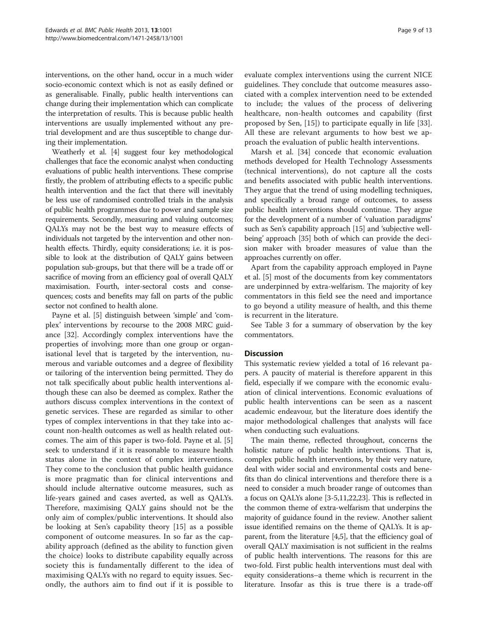interventions, on the other hand, occur in a much wider socio-economic context which is not as easily defined or as generalisable. Finally, public health interventions can change during their implementation which can complicate the interpretation of results. This is because public health interventions are usually implemented without any pretrial development and are thus susceptible to change during their implementation.

Weatherly et al. [\[4](#page-11-0)] suggest four key methodological challenges that face the economic analyst when conducting evaluations of public health interventions. These comprise firstly, the problem of attributing effects to a specific public health intervention and the fact that there will inevitably be less use of randomised controlled trials in the analysis of public health programmes due to power and sample size requirements. Secondly, measuring and valuing outcomes; QALYs may not be the best way to measure effects of individuals not targeted by the intervention and other nonhealth effects. Thirdly, equity considerations; i.e. it is possible to look at the distribution of QALY gains between population sub-groups, but that there will be a trade off or sacrifice of moving from an efficiency goal of overall QALY maximisation. Fourth, inter-sectoral costs and consequences; costs and benefits may fall on parts of the public sector not confined to health alone.

Payne et al. [\[5](#page-11-0)] distinguish between 'simple' and 'complex' interventions by recourse to the 2008 MRC guidance [\[32\]](#page-12-0). Accordingly complex interventions have the properties of involving; more than one group or organisational level that is targeted by the intervention, numerous and variable outcomes and a degree of flexibility or tailoring of the intervention being permitted. They do not talk specifically about public health interventions although these can also be deemed as complex. Rather the authors discuss complex interventions in the context of genetic services. These are regarded as similar to other types of complex interventions in that they take into account non-health outcomes as well as health related outcomes. The aim of this paper is two-fold. Payne et al. [\[5](#page-11-0)] seek to understand if it is reasonable to measure health status alone in the context of complex interventions. They come to the conclusion that public health guidance is more pragmatic than for clinical interventions and should include alternative outcome measures, such as life-years gained and cases averted, as well as QALYs. Therefore, maximising QALY gains should not be the only aim of complex/public interventions. It should also be looking at Sen's capability theory [[15\]](#page-12-0) as a possible component of outcome measures. In so far as the capability approach (defined as the ability to function given the choice) looks to distribute capability equally across society this is fundamentally different to the idea of maximising QALYs with no regard to equity issues. Secondly, the authors aim to find out if it is possible to

evaluate complex interventions using the current NICE guidelines. They conclude that outcome measures associated with a complex intervention need to be extended to include; the values of the process of delivering healthcare, non-health outcomes and capability (first proposed by Sen, [\[15](#page-12-0)]) to participate equally in life [\[33](#page-12-0)]. All these are relevant arguments to how best we approach the evaluation of public health interventions.

Marsh et al. [\[34\]](#page-12-0) concede that economic evaluation methods developed for Health Technology Assessments (technical interventions), do not capture all the costs and benefits associated with public health interventions. They argue that the trend of using modelling techniques, and specifically a broad range of outcomes, to assess public health interventions should continue. They argue for the development of a number of 'valuation paradigms' such as Sen's capability approach [\[15](#page-12-0)] and 'subjective wellbeing' approach [\[35\]](#page-12-0) both of which can provide the decision maker with broader measures of value than the approaches currently on offer.

Apart from the capability approach employed in Payne et al. [[5\]](#page-11-0) most of the documents from key commentators are underpinned by extra-welfarism. The majority of key commentators in this field see the need and importance to go beyond a utility measure of health, and this theme is recurrent in the literature.

See Table [3](#page-9-0) for a summary of observation by the key commentators.

#### **Discussion**

This systematic review yielded a total of 16 relevant papers. A paucity of material is therefore apparent in this field, especially if we compare with the economic evaluation of clinical interventions. Economic evaluations of public health interventions can be seen as a nascent academic endeavour, but the literature does identify the major methodological challenges that analysts will face when conducting such evaluations.

The main theme, reflected throughout, concerns the holistic nature of public health interventions. That is, complex public health interventions, by their very nature, deal with wider social and environmental costs and benefits than do clinical interventions and therefore there is a need to consider a much broader range of outcomes than a focus on QALYs alone [[3-5,](#page-11-0)[11,22,23\]](#page-12-0). This is reflected in the common theme of extra-welfarism that underpins the majority of guidance found in the review. Another salient issue identified remains on the theme of QALYs. It is apparent, from the literature [\[4,5](#page-11-0)], that the efficiency goal of overall QALY maximisation is not sufficient in the realms of public health interventions. The reasons for this are two-fold. First public health interventions must deal with equity considerations–a theme which is recurrent in the literature. Insofar as this is true there is a trade-off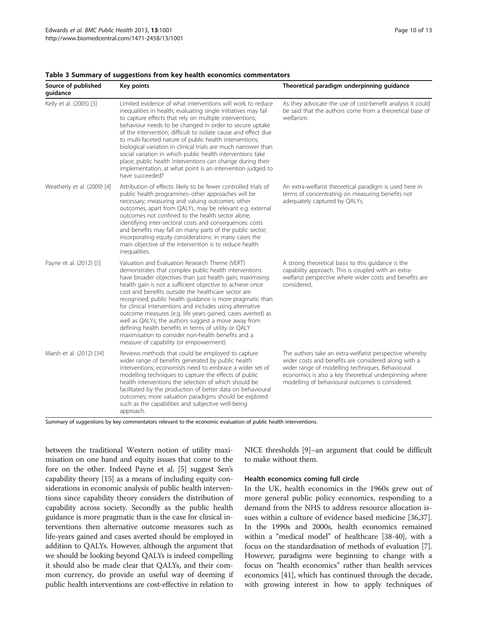| Source of published<br>quidance | Key points                                                                                                                                                                                                                                                                                                                                                                                                                                                                                                                                                                                                                                                                                        | Theoretical paradigm underpinning guidance                                                                                                                                                                                                                                        |
|---------------------------------|---------------------------------------------------------------------------------------------------------------------------------------------------------------------------------------------------------------------------------------------------------------------------------------------------------------------------------------------------------------------------------------------------------------------------------------------------------------------------------------------------------------------------------------------------------------------------------------------------------------------------------------------------------------------------------------------------|-----------------------------------------------------------------------------------------------------------------------------------------------------------------------------------------------------------------------------------------------------------------------------------|
| Kelly et al. (2005) [3]         | Limited evidence of what interventions will work to reduce<br>inequalities in health; evaluating single initiatives may fail<br>to capture effects that rely on multiple interventions;<br>behaviour needs to be changed in order to secure uptake<br>of the intervention; difficult to isolate cause and effect due<br>to multi-faceted nature of public health interventions;<br>biological variation in clinical trials are much narrower than<br>social variation in which public health interventions take<br>place; public health interventions can change during their<br>implementation; at what point is an intervention judged to<br>have succeeded?                                    | As they advocate the use of cost-benefit analysis it could<br>be said that the authors come from a theoretical base of<br>welfarism.                                                                                                                                              |
| Weatherly et al. (2009) [4]     | Attribution of effects: likely to be fewer controlled trials of<br>public health programmes-other approaches will be<br>necessary; measuring and valuing outcomes: other<br>outcomes, apart from QALYs, may be relevant e.g. external<br>outcomes not confined to the health sector alone;<br>identifying inter-sectoral costs and consequences: costs<br>and benefits may fall on many parts of the public sector;<br>incorporating equity considerations: in many cases the<br>main objective of the intervention is to reduce health<br>inequalities.                                                                                                                                          | An extra-welfarist theoretical paradigm is used here in<br>terms of concentrating on measuring benefits not<br>adequately captured by QALYs.                                                                                                                                      |
| Payne et al. (2012) [5]         | Valuation and Evaluation Research Theme (VERT)<br>demonstrates that complex public health interventions<br>have broader objectives than just health gain; maximising<br>health gain is not a sufficient objective to achieve once<br>cost and benefits outside the healthcare sector are<br>recognised; public health guidance is more pragmatic than<br>for clinical interventions and includes using alternative<br>outcome measures (e.g. life years gained, cases averted) as<br>well as QALYs; the authors suggest a move away from<br>defining health benefits in terms of utility or QALY<br>maximisation to consider non-health benefits and a<br>measure of capability (or empowerment). | A strong theoretical basis to this guidance is the<br>capability approach. This is coupled with an extra-<br>welfarist perspective where wider costs and benefits are<br>considered.                                                                                              |
| Marsh et al. (2012) [34]        | Reviews methods that could be employed to capture<br>wider range of benefits generated by public health<br>interventions; economists need to embrace a wider set of<br>modelling techniques to capture the effects of public<br>health interventions the selection of which should be<br>facilitated by the production of better data on behavioural<br>outcomes; more valuation paradigms should be explored<br>such as the capabilities and subjective well-being<br>approach.                                                                                                                                                                                                                  | The authors take an extra-welfarist perspective whereby<br>wider costs and benefits are considered along with a<br>wider range of modelling techniques. Behavioural<br>economics is also a key theoretical underpinning where<br>modelling of behavioural outcomes is considered. |

#### <span id="page-9-0"></span>Table 3 Summary of suggestions from key health economics commentators

Summary of suggestions by key commentators relevant to the economic evaluation of public health interventions.

between the traditional Western notion of utility maximisation on one hand and equity issues that come to the fore on the other. Indeed Payne et al. [[5\]](#page-11-0) suggest Sen's capability theory [[15](#page-12-0)] as a means of including equity considerations in economic analysis of public health interventions since capability theory considers the distribution of capability across society. Secondly as the public health guidance is more pragmatic than is the case for clinical interventions then alternative outcome measures such as life-years gained and cases averted should be employed in addition to QALYs. However, although the argument that we should be looking beyond QALYs is indeed compelling it should also be made clear that QALYs, and their common currency, do provide an useful way of deeming if public health interventions are cost-effective in relation to

NICE thresholds [[9](#page-12-0)]–an argument that could be difficult to make without them.

#### Health economics coming full circle

In the UK, health economics in the 1960s grew out of more general public policy economics, responding to a demand from the NHS to address resource allocation issues within a culture of evidence based medicine [\[36,37](#page-12-0)]. In the 1990s and 2000s, health economics remained within a "medical model" of healthcare [\[38-40\]](#page-12-0), with a focus on the standardisation of methods of evaluation [[7](#page-11-0)]. However, paradigms were beginning to change with a focus on "health economics" rather than health services economics [[41](#page-12-0)], which has continued through the decade, with growing interest in how to apply techniques of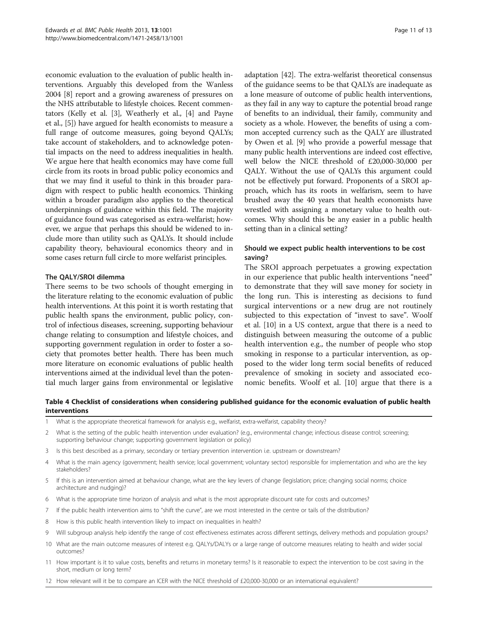<span id="page-10-0"></span>economic evaluation to the evaluation of public health interventions. Arguably this developed from the Wanless 2004 [[8](#page-12-0)] report and a growing awareness of pressures on the NHS attributable to lifestyle choices. Recent commentators (Kelly et al. [[3](#page-11-0)], Weatherly et al., [\[4](#page-11-0)] and Payne et al., [[5\]](#page-11-0)) have argued for health economists to measure a full range of outcome measures, going beyond QALYs; take account of stakeholders, and to acknowledge potential impacts on the need to address inequalities in health. We argue here that health economics may have come full circle from its roots in broad public policy economics and that we may find it useful to think in this broader paradigm with respect to public health economics. Thinking within a broader paradigm also applies to the theoretical underpinnings of guidance within this field. The majority of guidance found was categorised as extra-welfarist; however, we argue that perhaps this should be widened to include more than utility such as QALYs. It should include capability theory, behavioural economics theory and in some cases return full circle to more welfarist principles.

#### The QALY/SROI dilemma

There seems to be two schools of thought emerging in the literature relating to the economic evaluation of public health interventions. At this point it is worth restating that public health spans the environment, public policy, control of infectious diseases, screening, supporting behaviour change relating to consumption and lifestyle choices, and supporting government regulation in order to foster a society that promotes better health. There has been much more literature on economic evaluations of public health interventions aimed at the individual level than the potential much larger gains from environmental or legislative adaptation [[42](#page-12-0)]. The extra-welfarist theoretical consensus of the guidance seems to be that QALYs are inadequate as a lone measure of outcome of public health interventions, as they fail in any way to capture the potential broad range of benefits to an individual, their family, community and society as a whole. However, the benefits of using a common accepted currency such as the QALY are illustrated by Owen et al. [\[9](#page-12-0)] who provide a powerful message that many public health interventions are indeed cost effective, well below the NICE threshold of £20,000-30,000 per QALY. Without the use of QALYs this argument could not be effectively put forward. Proponents of a SROI approach, which has its roots in welfarism, seem to have brushed away the 40 years that health economists have wrestled with assigning a monetary value to health outcomes. Why should this be any easier in a public health setting than in a clinical setting?

## Should we expect public health interventions to be cost saving?

The SROI approach perpetuates a growing expectation in our experience that public health interventions "need" to demonstrate that they will save money for society in the long run. This is interesting as decisions to fund surgical interventions or a new drug are not routinely subjected to this expectation of "invest to save". Woolf et al. [[10](#page-12-0)] in a US context, argue that there is a need to distinguish between measuring the outcome of a public health intervention e.g., the number of people who stop smoking in response to a particular intervention, as opposed to the wider long term social benefits of reduced prevalence of smoking in society and associated economic benefits. Woolf et al. [[10](#page-12-0)] argue that there is a

Table 4 Checklist of considerations when considering published guidance for the economic evaluation of public health interventions

- 1 What is the appropriate theoretical framework for analysis e.g., welfarist, extra-welfarist, capability theory?
- 2 What is the setting of the public health intervention under evaluation? (e.g., environmental change; infectious disease control; screening; supporting behaviour change; supporting government legislation or policy)
- 3 Is this best described as a primary, secondary or tertiary prevention intervention i.e. upstream or downstream?
- 4 What is the main agency (government; health service; local government; voluntary sector) responsible for implementation and who are the key stakeholders?
- 5 If this is an intervention aimed at behaviour change, what are the key levers of change (legislation; price; changing social norms; choice architecture and nudging)?
- 6 What is the appropriate time horizon of analysis and what is the most appropriate discount rate for costs and outcomes?
- 7 If the public health intervention aims to "shift the curve", are we most interested in the centre or tails of the distribution?
- 8 How is this public health intervention likely to impact on inequalities in health?
- 9 Will subgroup analysis help identify the range of cost effectiveness estimates across different settings, delivery methods and population groups?
- 10 What are the main outcome measures of interest e.g. QALYs/DALYs or a large range of outcome measures relating to health and wider social outcomes?
- 11 How important is it to value costs, benefits and returns in monetary terms? Is it reasonable to expect the intervention to be cost saving in the short, medium or long term?
- 12 How relevant will it be to compare an ICER with the NICE threshold of £20,000-30,000 or an international equivalent?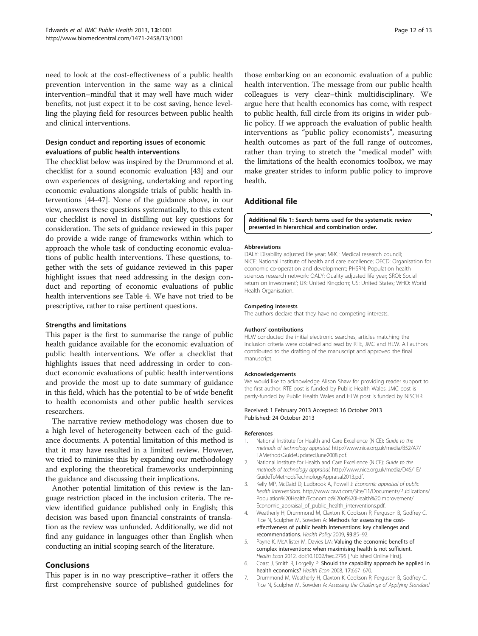<span id="page-11-0"></span>need to look at the cost-effectiveness of a public health prevention intervention in the same way as a clinical intervention–mindful that it may well have much wider benefits, not just expect it to be cost saving, hence levelling the playing field for resources between public health and clinical interventions.

## Design conduct and reporting issues of economic evaluations of public health interventions

The checklist below was inspired by the Drummond et al. checklist for a sound economic evaluation [[43](#page-12-0)] and our own experiences of designing, undertaking and reporting economic evaluations alongside trials of public health interventions [[44](#page-12-0)-[47\]](#page-12-0). None of the guidance above, in our view, answers these questions systematically, to this extent our checklist is novel in distilling out key questions for consideration. The sets of guidance reviewed in this paper do provide a wide range of frameworks within which to approach the whole task of conducting economic evaluations of public health interventions. These questions, together with the sets of guidance reviewed in this paper highlight issues that need addressing in the design conduct and reporting of economic evaluations of public health interventions see Table [4](#page-10-0). We have not tried to be prescriptive, rather to raise pertinent questions.

#### Strengths and limitations

This paper is the first to summarise the range of public health guidance available for the economic evaluation of public health interventions. We offer a checklist that highlights issues that need addressing in order to conduct economic evaluations of public health interventions and provide the most up to date summary of guidance in this field, which has the potential to be of wide benefit to health economists and other public health services researchers.

The narrative review methodology was chosen due to a high level of heterogeneity between each of the guidance documents. A potential limitation of this method is that it may have resulted in a limited review. However, we tried to minimise this by expanding our methodology and exploring the theoretical frameworks underpinning the guidance and discussing their implications.

Another potential limitation of this review is the language restriction placed in the inclusion criteria. The review identified guidance published only in English; this decision was based upon financial constraints of translation as the review was unfunded. Additionally, we did not find any guidance in languages other than English when conducting an initial scoping search of the literature.

## Conclusions

This paper is in no way prescriptive–rather it offers the first comprehensive source of published guidelines for

those embarking on an economic evaluation of a public health intervention. The message from our public health colleagues is very clear–think multidisciplinary. We argue here that health economics has come, with respect to public health, full circle from its origins in wider public policy. If we approach the evaluation of public health interventions as "public policy economists", measuring health outcomes as part of the full range of outcomes, rather than trying to stretch the "medical model" with the limitations of the health economics toolbox, we may make greater strides to inform public policy to improve health.

## Additional file

[Additional file 1:](http://www.biomedcentral.com/content/supplementary/1471-2458-13-1001-S1.doc) Search terms used for the systematic review presented in hierarchical and combination order.

#### Abbreviations

DALY: Disability adjusted life year; MRC: Medical research council; NICE: National institute of health and care excellence; OECD: Organisation for economic co-operation and development; PHSRN: Population health sciences research network; QALY: Quality adjusted life year; SROI: Social return on investment'; UK: United Kingdom; US: United States; WHO: World Health Organisation.

#### Competing interests

The authors declare that they have no competing interests.

#### Authors' contributions

HLW conducted the initial electronic searches, articles matching the inclusion criteria were obtained and read by RTE, JMC and HLW. All authors contributed to the drafting of the manuscript and approved the final manuscript.

#### Acknowledgements

We would like to acknowledge Alison Shaw for providing reader support to the first author. RTE post is funded by Public Health Wales, JMC post is partly-funded by Public Health Wales and HLW post is funded by NISCHR.

#### Received: 1 February 2013 Accepted: 16 October 2013 Published: 24 October 2013

#### References

- 1. National Institute for Health and Care Excellence (NICE): Guide to the methods of technology appraisal. [http://www.nice.org.uk/media/B52/A7/](http://www.nice.org.uk/media/B52/A7/TAMethodsGuideUpdatedJune2008.pdf) [TAMethodsGuideUpdatedJune2008.pdf.](http://www.nice.org.uk/media/B52/A7/TAMethodsGuideUpdatedJune2008.pdf)
- 2. National Institute for Health and Care Excellence (NICE): Guide to the methods of technology appraisal. [http://www.nice.org.uk/media/D45/1E/](http://www.nice.org.uk/media/D45/1E/GuideToMethodsTechnologyAppraisal2013.pdf) [GuideToMethodsTechnologyAppraisal2013.pdf](http://www.nice.org.uk/media/D45/1E/GuideToMethodsTechnologyAppraisal2013.pdf).
- 3. Kelly MP, McDaid D, Ludbrook A, Powell J: Economic appraisal of public health interventions. [http://www.cawt.com/Site/11/Documents/Publications/](http://www.cawt.com/Site/11/Documents/Publications/Population%20Health/Economics%20of%20Health%20Improvement/Economic_appraisal_of_public_health_interventions.pdf) [Population%20Health/Economics%20of%20Health%20Improvement/](http://www.cawt.com/Site/11/Documents/Publications/Population%20Health/Economics%20of%20Health%20Improvement/Economic_appraisal_of_public_health_interventions.pdf) [Economic\\_appraisal\\_of\\_public\\_health\\_interventions.pdf](http://www.cawt.com/Site/11/Documents/Publications/Population%20Health/Economics%20of%20Health%20Improvement/Economic_appraisal_of_public_health_interventions.pdf).
- 4. Weatherly H, Drummond M, Claxton K, Cookson R, Ferguson B, Godfrey C, Rice N, Sculpher M, Sowden A: Methods for assessing the costeffectiveness of public health interventions: key challenges and recommendations. Health Policy 2009, 93:85–92.
- 5. Payne K, McAllister M, Davies LM: Valuing the economic benefits of complex interventions: when maximising health is not sufficient. Health Econ 2012. doi:10.1002/hec.2795 [Published Online First].
- 6. Coast J, Smith R, Lorgelly P: Should the capability approach be applied in health economics? Health Econ 2008, 17:667–670.
- 7. Drummond M, Weatherly H, Claxton K, Cookson R, Ferguson B, Godfrey C, Rice N, Sculpher M, Sowden A: Assessing the Challenge of Applying Standard